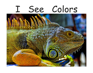# I See Colors

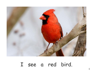

### I see a red bird.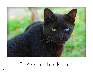

### I see a black cat.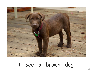

# I see a brown dog.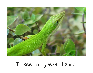

# I see a green lizard.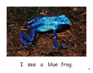

# I see a blue frog.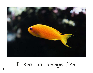

# I see an orange fish.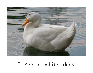

### I see a white duck.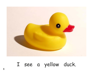

# I see a yellow duck.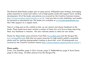The Mustard Seed Books project uses an open-source, Wikipedia-type strategy, leveraging public expertise to create and refine a set of high-quality books that support early reading development. All of the books and pictures are covered by the Creative Commons License (http://creativecommons.org/licenses/by-nc-sa/3.0/ ) and are free to print, distribute, and modify for personal or educational use. The books are available at www.mustardseedbooks.org. New titles appear on a regular basis.

There is a blog post on the website so that we can receive and discuss feedback on the books. These books have been revised a number of times, but we'd love to keep improving them. Any feedback is welcome. We also welcome photos or ideas for new books.

Photos for these books come primarily from Flickr (www.flickr.com) and the Morgue File (www.morguefile.com). Both sites are great resources for high-quality publicly accessible photos and for aspiring photographers looking to share their work. All photographs are covered by the Creative Commons License (http://creativecommons.org/licenses/by-nc-sa/3.0/ ).

#### **Photo credits:**

Cover: Trey Ratcliffe; page 2: Chris Yarzab, page 3: TheBlackBrian; page 5: Ryan Stone; page 6: Max Sang. All other pictures from the Morgue File.